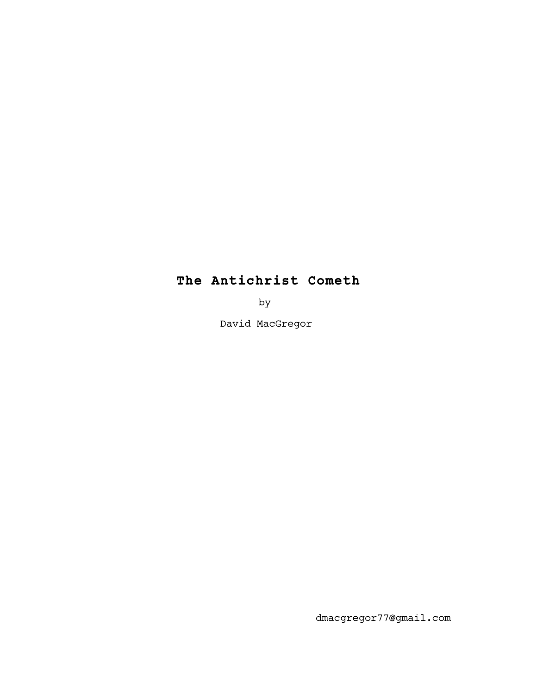# **The Antichrist Cometh**

by

David MacGregor

dmacgregor77@gmail.com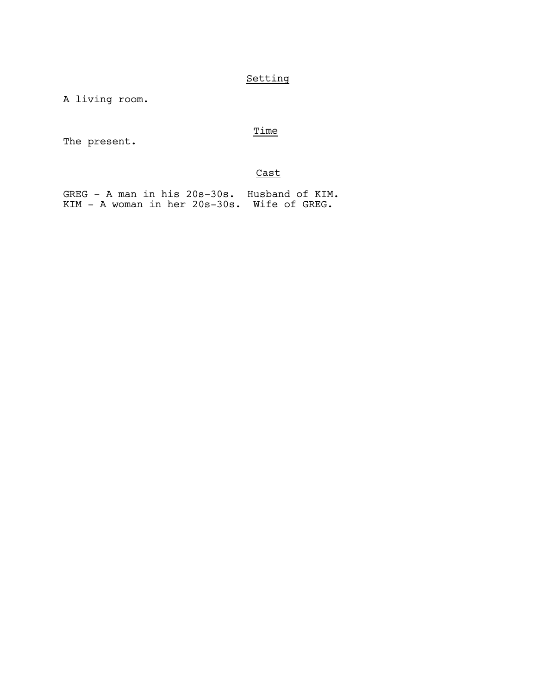## Setting

A living room.

### Time

The present.

### Cast

GREG - A man in his 20s-30s. Husband of KIM. KIM - A woman in her 20s-30s. Wife of GREG.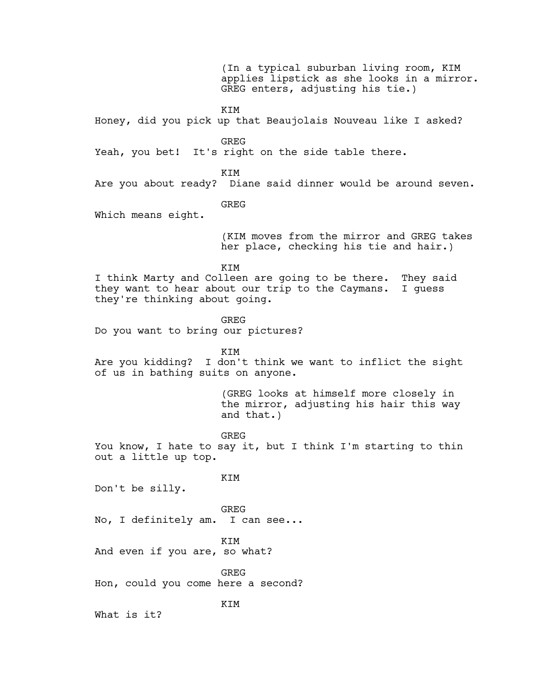(In a typical suburban living room, KIM applies lipstick as she looks in a mirror. GREG enters, adjusting his tie.) KIM Honey, did you pick up that Beaujolais Nouveau like I asked? GREG Yeah, you bet! It's right on the side table there. KIM Are you about ready? Diane said dinner would be around seven. GREG Which means eight. (KIM moves from the mirror and GREG takes her place, checking his tie and hair.) KIM I think Marty and Colleen are going to be there. They said they want to hear about our trip to the Caymans. I guess they're thinking about going. **GREG** Do you want to bring our pictures? KIM Are you kidding? I don't think we want to inflict the sight of us in bathing suits on anyone. (GREG looks at himself more closely in the mirror, adjusting his hair this way and that.) GREG You know, I hate to say it, but I think I'm starting to thin out a little up top. KIM Don't be silly. GREG No, I definitely am. I can see... KIM And even if you are, so what? GREG Hon, could you come here a second? KIM What is it?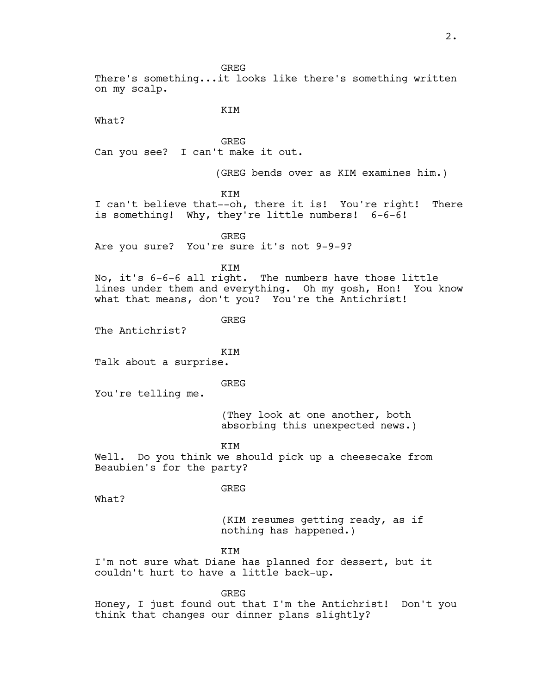There's something...it looks like there's something written on my scalp.

What?

KIM

GREG Can you see? I can't make it out.

(GREG bends over as KIM examines him.)

KIM

I can't believe that--oh, there it is! You're right! There is something! Why, they're little numbers! 6-6-6!

GREG

Are you sure? You're sure it's not 9-9-9?

KIM

No, it's 6-6-6 all right. The numbers have those little lines under them and everything. Oh my gosh, Hon! You know what that means, don't you? You're the Antichrist!

GREG

The Antichrist?

KIM

Talk about a surprise.

#### GREG

You're telling me.

(They look at one another, both absorbing this unexpected news.)

KIM

Well. Do you think we should pick up a cheesecake from Beaubien's for the party?

#### GREG

What?

(KIM resumes getting ready, as if nothing has happened.)

**KTM** 

I'm not sure what Diane has planned for dessert, but it couldn't hurt to have a little back-up.

GREG

Honey, I just found out that I'm the Antichrist! Don't you think that changes our dinner plans slightly?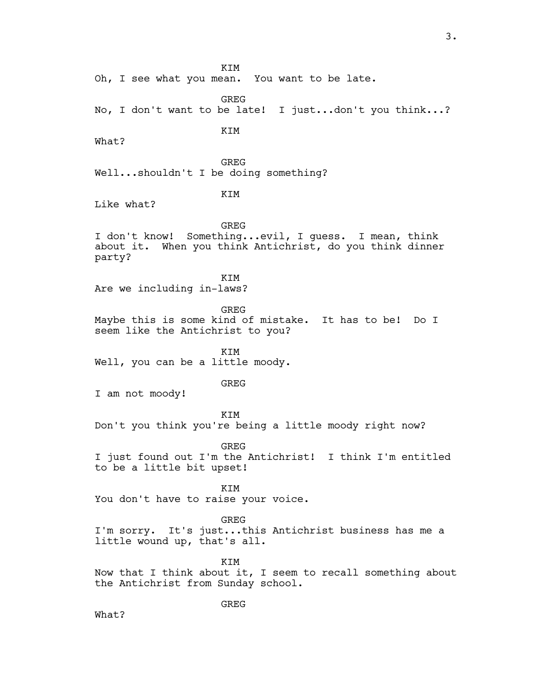KIM Oh, I see what you mean. You want to be late. GREG No, I don't want to be late! I just...don't you think...? KIM What? GREG Well...shouldn't I be doing something? KIM Like what? GREG I don't know! Something...evil, I guess. I mean, think about it. When you think Antichrist, do you think dinner party? **KTM** Are we including in-laws? GREG Maybe this is some kind of mistake. It has to be! Do I seem like the Antichrist to you? KIM Well, you can be a little moody. GREG I am not moody! KIM Don't you think you're being a little moody right now? GREG I just found out I'm the Antichrist! I think I'm entitled to be a little bit upset! KIM You don't have to raise your voice. GREG I'm sorry. It's just...this Antichrist business has me a little wound up, that's all. KIM Now that I think about it, I seem to recall something about the Antichrist from Sunday school. GREG What?

3.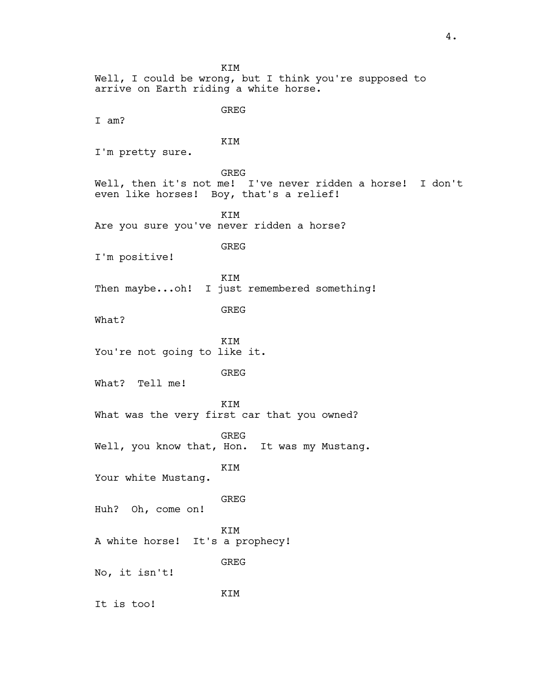KIM Well, I could be wrong, but I think you're supposed to arrive on Earth riding a white horse. GREG I am? KIM I'm pretty sure. GREG Well, then it's not me! I've never ridden a horse! I don't even like horses! Boy, that's a relief! KIM Are you sure you've never ridden a horse? GREG I'm positive! KIM Then maybe...oh! I just remembered something! GREG What? KIM You're not going to like it. GREG What? Tell me! KIM What was the very first car that you owned? GREG Well, you know that, Hon. It was my Mustang. KIM Your white Mustang. GREG Huh? Oh, come on! KIM A white horse! It's a prophecy! GREG No, it isn't! KIM It is too!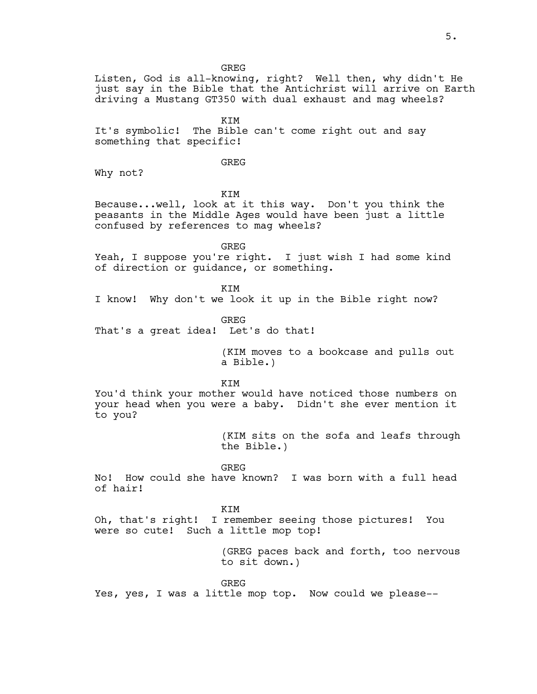Listen, God is all-knowing, right? Well then, why didn't He just say in the Bible that the Antichrist will arrive on Earth driving a Mustang GT350 with dual exhaust and mag wheels?

KIM It's symbolic! The Bible can't come right out and say something that specific!

GREG

Why not?

KIM

Because...well, look at it this way. Don't you think the peasants in the Middle Ages would have been just a little confused by references to mag wheels?

GREG

Yeah, I suppose you're right. I just wish I had some kind of direction or guidance, or something.

KIM

I know! Why don't we look it up in the Bible right now?

GREG

That's a great idea! Let's do that!

 (KIM moves to a bookcase and pulls out a Bible.)

KIM

You'd think your mother would have noticed those numbers on your head when you were a baby. Didn't she ever mention it to you?

> (KIM sits on the sofa and leafs through the Bible.)

GREG

No! How could she have known? I was born with a full head of hair!

KIM

Oh, that's right! I remember seeing those pictures! You were so cute! Such a little mop top!

> (GREG paces back and forth, too nervous to sit down.)

GREG

Yes, yes, I was a little mop top. Now could we please--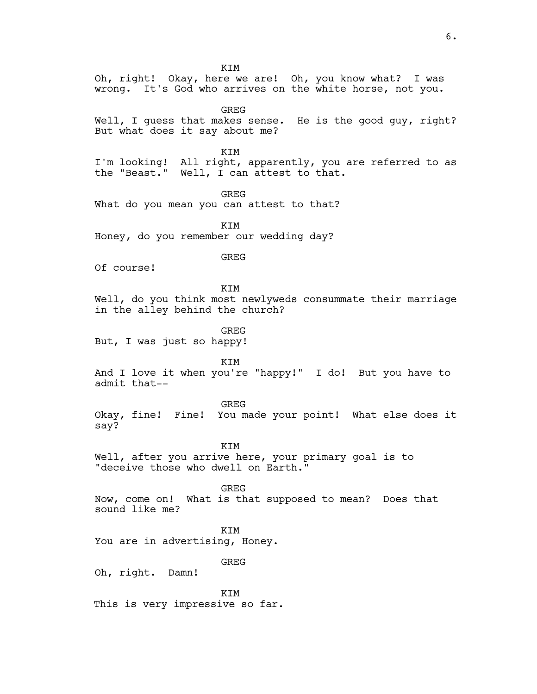KIM Oh, right! Okay, here we are! Oh, you know what? I was wrong. It's God who arrives on the white horse, not you. GREG Well, I guess that makes sense. He is the good guy, right? But what does it say about me? KIM I'm looking! All right, apparently, you are referred to as the "Beast." Well, I can attest to that. GREG What do you mean you can attest to that? KIM Honey, do you remember our wedding day? GREG Of course! KIM Well, do you think most newlyweds consummate their marriage in the alley behind the church? GREG But, I was just so happy! KIM And I love it when you're "happy!" I do! But you have to admit that-- GREG Okay, fine! Fine! You made your point! What else does it say? KIM Well, after you arrive here, your primary goal is to "deceive those who dwell on Earth." GREG Now, come on! What is that supposed to mean? Does that sound like me? **KTM** You are in advertising, Honey. GREG Oh, right. Damn! KIM This is very impressive so far.

6.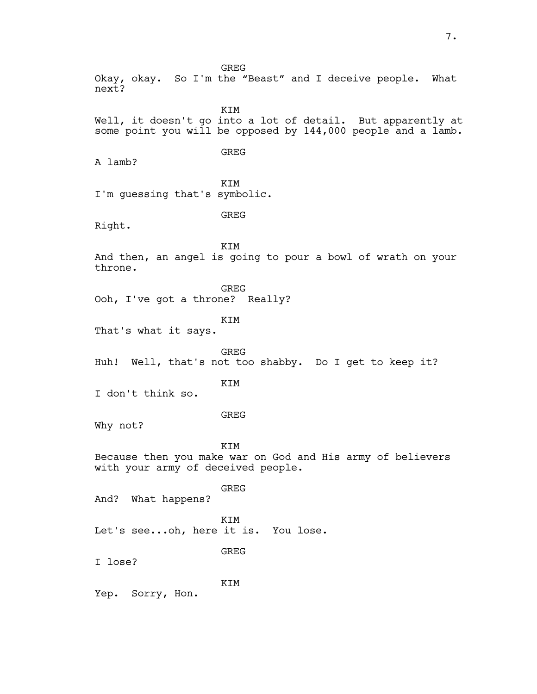GREG Okay, okay. So I'm the "Beast" and I deceive people. What next? KIM Well, it doesn't go into a lot of detail. But apparently at some point you will be opposed by 144,000 people and a lamb. GREG A lamb? KIM I'm guessing that's symbolic. GREG Right. KIM And then, an angel is going to pour a bowl of wrath on your throne. GREG Ooh, I've got a throne? Really? KIM That's what it says. GREG Huh! Well, that's not too shabby. Do I get to keep it? KIM I don't think so. GREG Why not? KIM Because then you make war on God and His army of believers with your army of deceived people. GREG And? What happens? KIM Let's see...oh, here it is. You lose. GREG I lose? KIM Yep. Sorry, Hon.

7.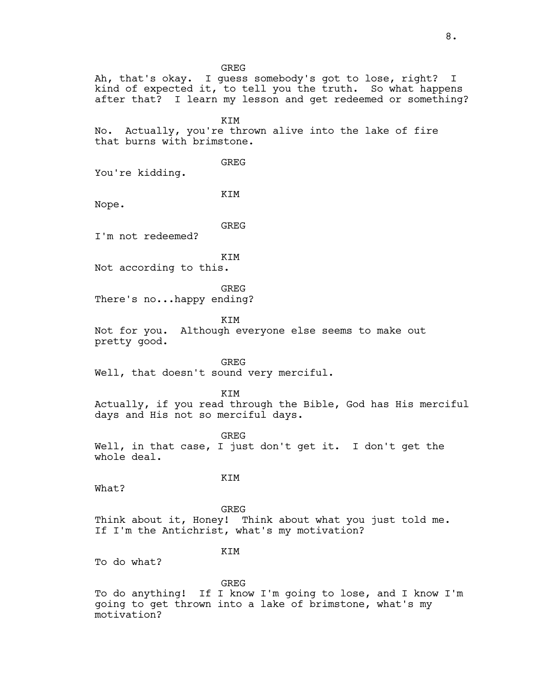GREG Ah, that's okay. I guess somebody's got to lose, right? I kind of expected it, to tell you the truth. So what happens after that? I learn my lesson and get redeemed or something? KIM No. Actually, you're thrown alive into the lake of fire that burns with brimstone. GREG You're kidding. KIM Nope. GREG I'm not redeemed? KIM Not according to this. GREG There's no...happy ending? **KTM** Not for you. Although everyone else seems to make out pretty good. GREG Well, that doesn't sound very merciful. **KTM** Actually, if you read through the Bible, God has His merciful days and His not so merciful days. GREG Well, in that case, I just don't get it. I don't get the whole deal. KIM What? GREG Think about it, Honey! Think about what you just told me. If I'm the Antichrist, what's my motivation? **KTM** To do what? GREG To do anything! If I know I'm going to lose, and I know I'm going to get thrown into a lake of brimstone, what's my motivation?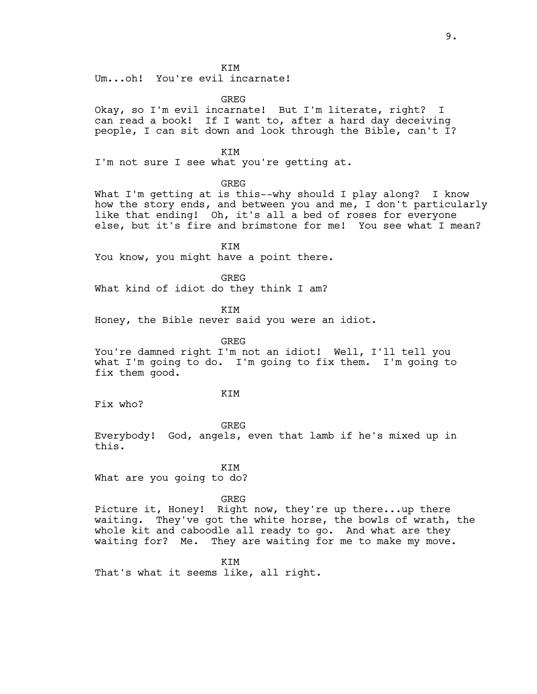**KTM** 

Um...oh! You're evil incarnate!

GREG

Okay, so I'm evil incarnate! But I'm literate, right? I can read a book! If I want to, after a hard day deceiving people, I can sit down and look through the Bible, can't I?

KIM

I'm not sure I see what you're getting at.

GREG

What I'm getting at is this--why should I play along? I know how the story ends, and between you and me, I don't particularly like that ending! Oh, it's all a bed of roses for everyone else, but it's fire and brimstone for me! You see what I mean?

KIM

You know, you might have a point there.

GREG

What kind of idiot do they think I am?

KIM

Honey, the Bible never said you were an idiot.

GREG

You're damned right I'm not an idiot! Well, I'll tell you what I'm going to do. I'm going to fix them. I'm going to fix them good.

KIM

Fix who?

GREG Everybody! God, angels, even that lamb if he's mixed up in this.

KIM What are you going to do?

GREG

Picture it, Honey! Right now, they're up there...up there waiting. They've got the white horse, the bowls of wrath, the whole kit and caboodle all ready to go. And what are they waiting for? Me. They are waiting for me to make my move.

KIM That's what it seems like, all right.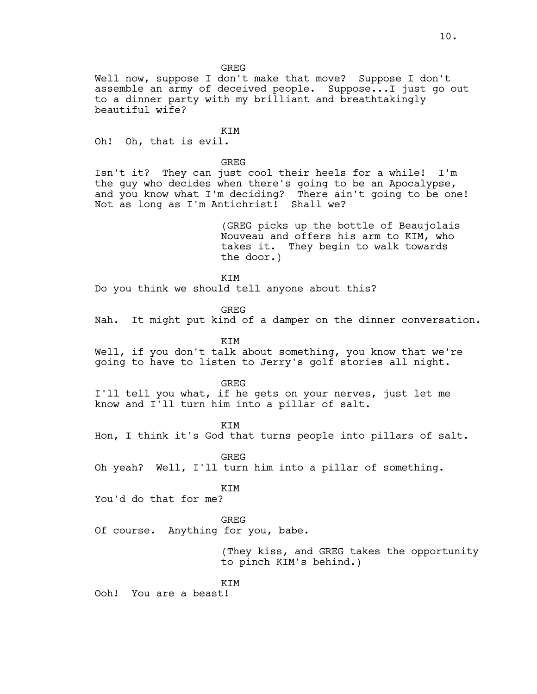Well now, suppose I don't make that move? Suppose I don't assemble an army of deceived people. Suppose...I just go out to a dinner party with my brilliant and breathtakingly beautiful wife?

KIM Oh! Oh, that is evil.

GREG

Isn't it? They can just cool their heels for a while! I'm the guy who decides when there's going to be an Apocalypse, and you know what I'm deciding? There ain't going to be one! Not as long as I'm Antichrist! Shall we?

> (GREG picks up the bottle of Beaujolais Nouveau and offers his arm to KIM, who takes it. They begin to walk towards the door.)

**KTM** 

Do you think we should tell anyone about this?

GREG

Nah. It might put kind of a damper on the dinner conversation.

KIM

Well, if you don't talk about something, you know that we're going to have to listen to Jerry's golf stories all night.

GREG

I'll tell you what, if he gets on your nerves, just let me know and I'll turn him into a pillar of salt.

KIM

Hon, I think it's God that turns people into pillars of salt.

GREG

Oh yeah? Well, I'll turn him into a pillar of something.

KIM

You'd do that for me?

#### GREG

Of course. Anything for you, babe.

 (They kiss, and GREG takes the opportunity to pinch KIM's behind.)

KIM

Ooh! You are a beast!